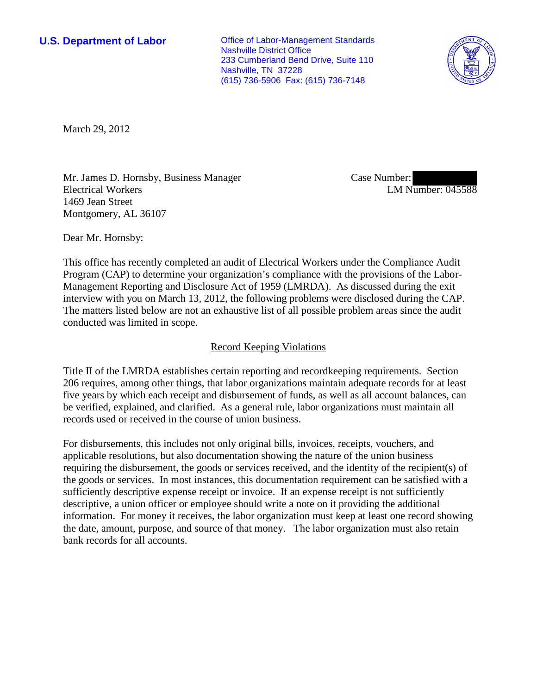**U.S. Department of Labor Office of Labor-Management Standards** Nashville District Office 233 Cumberland Bend Drive, Suite 110 Nashville, TN 37228 (615) 736-5906 Fax: (615) 736-7148



March 29, 2012

Mr. James D. Hornsby, Business Manager Electrical Workers 1469 Jean Street Montgomery, AL 36107

Case Number: LM Number: 045588

Dear Mr. Hornsby:

This office has recently completed an audit of Electrical Workers under the Compliance Audit Program (CAP) to determine your organization's compliance with the provisions of the Labor-Management Reporting and Disclosure Act of 1959 (LMRDA). As discussed during the exit interview with you on March 13, 2012, the following problems were disclosed during the CAP. The matters listed below are not an exhaustive list of all possible problem areas since the audit conducted was limited in scope.

## Record Keeping Violations

Title II of the LMRDA establishes certain reporting and recordkeeping requirements. Section 206 requires, among other things, that labor organizations maintain adequate records for at least five years by which each receipt and disbursement of funds, as well as all account balances, can be verified, explained, and clarified. As a general rule, labor organizations must maintain all records used or received in the course of union business.

For disbursements, this includes not only original bills, invoices, receipts, vouchers, and applicable resolutions, but also documentation showing the nature of the union business requiring the disbursement, the goods or services received, and the identity of the recipient(s) of the goods or services. In most instances, this documentation requirement can be satisfied with a sufficiently descriptive expense receipt or invoice. If an expense receipt is not sufficiently descriptive, a union officer or employee should write a note on it providing the additional information. For money it receives, the labor organization must keep at least one record showing the date, amount, purpose, and source of that money. The labor organization must also retain bank records for all accounts.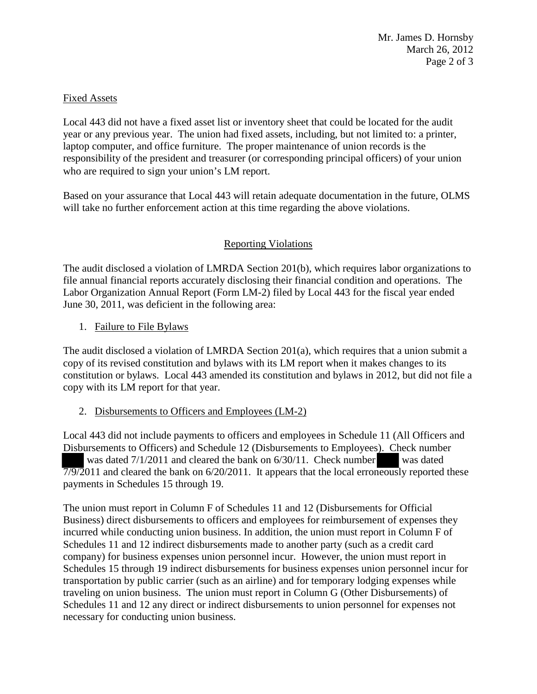Mr. James D. Hornsby March 26, 2012 Page 2 of 3

### Fixed Assets

Local 443 did not have a fixed asset list or inventory sheet that could be located for the audit year or any previous year. The union had fixed assets, including, but not limited to: a printer, laptop computer, and office furniture. The proper maintenance of union records is the responsibility of the president and treasurer (or corresponding principal officers) of your union who are required to sign your union's LM report.

Based on your assurance that Local 443 will retain adequate documentation in the future, OLMS will take no further enforcement action at this time regarding the above violations.

# Reporting Violations

The audit disclosed a violation of LMRDA Section 201(b), which requires labor organizations to file annual financial reports accurately disclosing their financial condition and operations. The Labor Organization Annual Report (Form LM-2) filed by Local 443 for the fiscal year ended June 30, 2011, was deficient in the following area:

1. Failure to File Bylaws

The audit disclosed a violation of LMRDA Section 201(a), which requires that a union submit a copy of its revised constitution and bylaws with its LM report when it makes changes to its constitution or bylaws. Local 443 amended its constitution and bylaws in 2012, but did not file a copy with its LM report for that year.

### 2. Disbursements to Officers and Employees (LM-2)

Local 443 did not include payments to officers and employees in Schedule 11 (All Officers and Disbursements to Officers) and Schedule 12 (Disbursements to Employees). Check number was dated 7/1/2011 and cleared the bank on 6/30/11. Check number was dated  $7/9/2011$  and cleared the bank on  $6/20/2011$ . It appears that the local erroneously reported these payments in Schedules 15 through 19.

The union must report in Column F of Schedules 11 and 12 (Disbursements for Official Business) direct disbursements to officers and employees for reimbursement of expenses they incurred while conducting union business. In addition, the union must report in Column F of Schedules 11 and 12 indirect disbursements made to another party (such as a credit card company) for business expenses union personnel incur. However, the union must report in Schedules 15 through 19 indirect disbursements for business expenses union personnel incur for transportation by public carrier (such as an airline) and for temporary lodging expenses while traveling on union business. The union must report in Column G (Other Disbursements) of Schedules 11 and 12 any direct or indirect disbursements to union personnel for expenses not necessary for conducting union business.